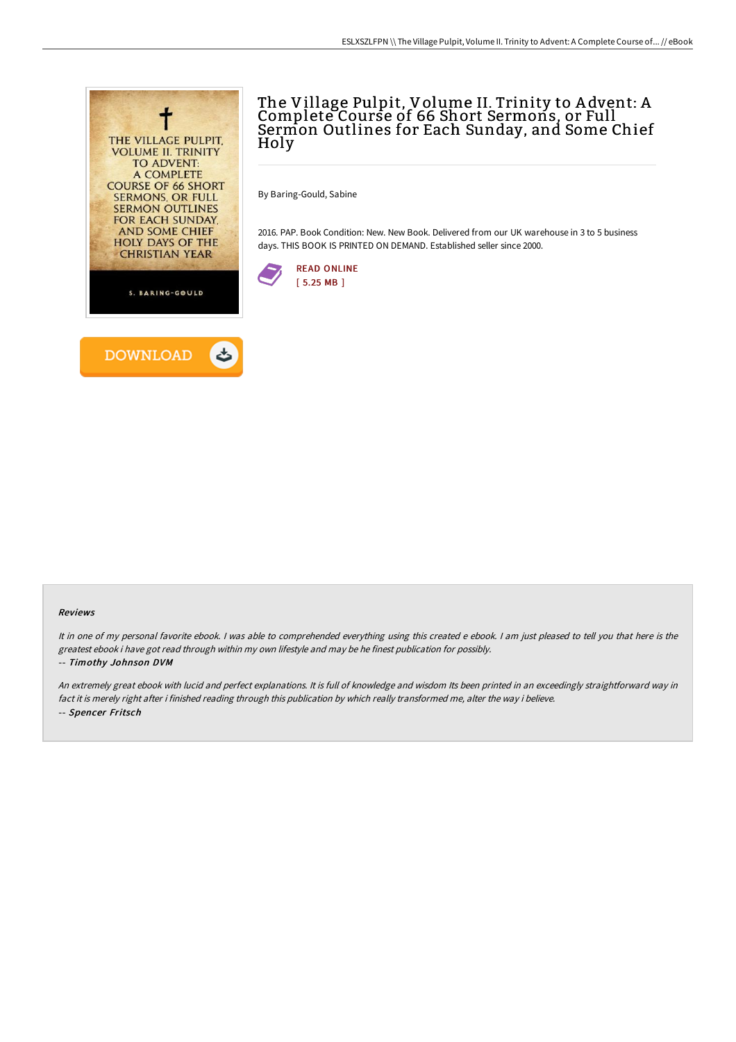



# The Village Pulpit, Volume II. Trinity to A dvent: A Complete Course of 66 Short Sermons, or Full Sermon Outlines for Each Sunday, and Some Chief Holy

By Baring-Gould, Sabine

2016. PAP. Book Condition: New. New Book. Delivered from our UK warehouse in 3 to 5 business days. THIS BOOK IS PRINTED ON DEMAND. Established seller since 2000.



### Reviews

It in one of my personal favorite ebook. <sup>I</sup> was able to comprehended everything using this created <sup>e</sup> ebook. <sup>I</sup> am just pleased to tell you that here is the greatest ebook i have got read through within my own lifestyle and may be he finest publication for possibly.

### -- Timothy Johnson DVM

An extremely great ebook with lucid and perfect explanations. It is full of knowledge and wisdom Its been printed in an exceedingly straightforward way in fact it is merely right after i finished reading through this publication by which really transformed me, alter the way i believe. -- Spencer Fritsch